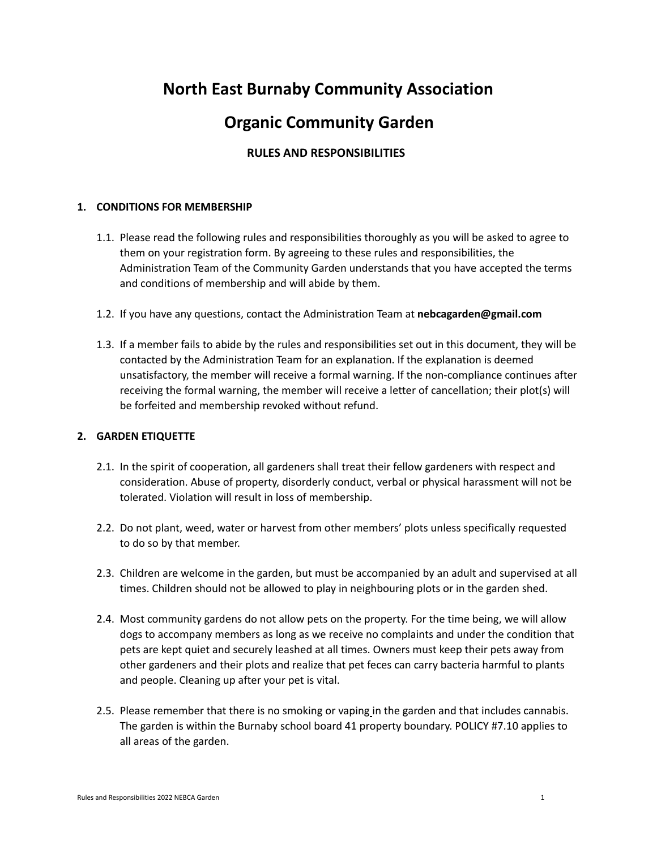# **North East Burnaby Community Association**

## **Organic Community Garden**

## **RULES AND RESPONSIBILITIES**

## **1. CONDITIONS FOR MEMBERSHIP**

- 1.1. Please read the following rules and responsibilities thoroughly as you will be asked to agree to them on your registration form. By agreeing to these rules and responsibilities, the Administration Team of the Community Garden understands that you have accepted the terms and conditions of membership and will abide by them.
- 1.2. If you have any questions, contact the Administration Team at **nebcagarden@gmail.com**
- 1.3. If a member fails to abide by the rules and responsibilities set out in this document, they will be contacted by the Administration Team for an explanation. If the explanation is deemed unsatisfactory, the member will receive a formal warning. If the non-compliance continues after receiving the formal warning, the member will receive a letter of cancellation; their plot(s) will be forfeited and membership revoked without refund.

## **2. GARDEN ETIQUETTE**

- 2.1. In the spirit of cooperation, all gardeners shall treat their fellow gardeners with respect and consideration. Abuse of property, disorderly conduct, verbal or physical harassment will not be tolerated. Violation will result in loss of membership.
- 2.2. Do not plant, weed, water or harvest from other members' plots unless specifically requested to do so by that member.
- 2.3. Children are welcome in the garden, but must be accompanied by an adult and supervised at all times. Children should not be allowed to play in neighbouring plots or in the garden shed.
- 2.4. Most community gardens do not allow pets on the property. For the time being, we will allow dogs to accompany members as long as we receive no complaints and under the condition that pets are kept quiet and securely leashed at all times. Owners must keep their pets away from other gardeners and their plots and realize that pet feces can carry bacteria harmful to plants and people. Cleaning up after your pet is vital.
- 2.5. Please remember that there is no smoking or vaping in the garden and that includes cannabis. The garden is within the Burnaby school board 41 property boundary. POLICY #7.10 applies to all areas of the garden.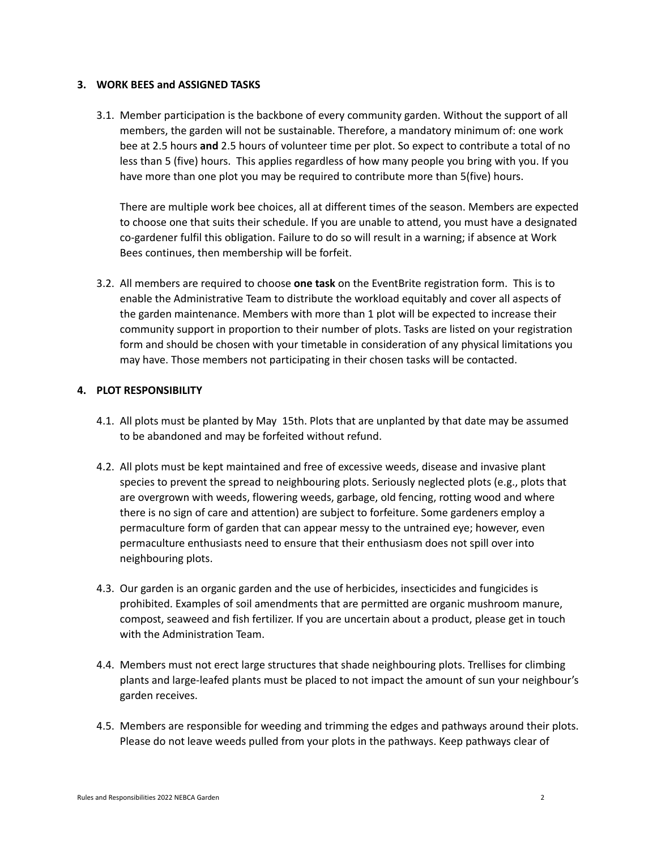## **3. WORK BEES and ASSIGNED TASKS**

3.1. Member participation is the backbone of every community garden. Without the support of all members, the garden will not be sustainable. Therefore, a mandatory minimum of: one work bee at 2.5 hours **and** 2.5 hours of volunteer time per plot. So expect to contribute a total of no less than 5 (five) hours. This applies regardless of how many people you bring with you. If you have more than one plot you may be required to contribute more than 5(five) hours.

There are multiple work bee choices, all at different times of the season. Members are expected to choose one that suits their schedule. If you are unable to attend, you must have a designated co-gardener fulfil this obligation. Failure to do so will result in a warning; if absence at Work Bees continues, then membership will be forfeit.

3.2. All members are required to choose **one task** on the EventBrite registration form. This is to enable the Administrative Team to distribute the workload equitably and cover all aspects of the garden maintenance. Members with more than 1 plot will be expected to increase their community support in proportion to their number of plots. Tasks are listed on your registration form and should be chosen with your timetable in consideration of any physical limitations you may have. Those members not participating in their chosen tasks will be contacted.

## **4. PLOT RESPONSIBILITY**

- 4.1. All plots must be planted by May 15th. Plots that are unplanted by that date may be assumed to be abandoned and may be forfeited without refund.
- 4.2. All plots must be kept maintained and free of excessive weeds, disease and invasive plant species to prevent the spread to neighbouring plots. Seriously neglected plots (e.g., plots that are overgrown with weeds, flowering weeds, garbage, old fencing, rotting wood and where there is no sign of care and attention) are subject to forfeiture. Some gardeners employ a permaculture form of garden that can appear messy to the untrained eye; however, even permaculture enthusiasts need to ensure that their enthusiasm does not spill over into neighbouring plots.
- 4.3. Our garden is an organic garden and the use of herbicides, insecticides and fungicides is prohibited. Examples of soil amendments that are permitted are organic mushroom manure, compost, seaweed and fish fertilizer. If you are uncertain about a product, please get in touch with the Administration Team.
- 4.4. Members must not erect large structures that shade neighbouring plots. Trellises for climbing plants and large-leafed plants must be placed to not impact the amount of sun your neighbour's garden receives.
- 4.5. Members are responsible for weeding and trimming the edges and pathways around their plots. Please do not leave weeds pulled from your plots in the pathways. Keep pathways clear of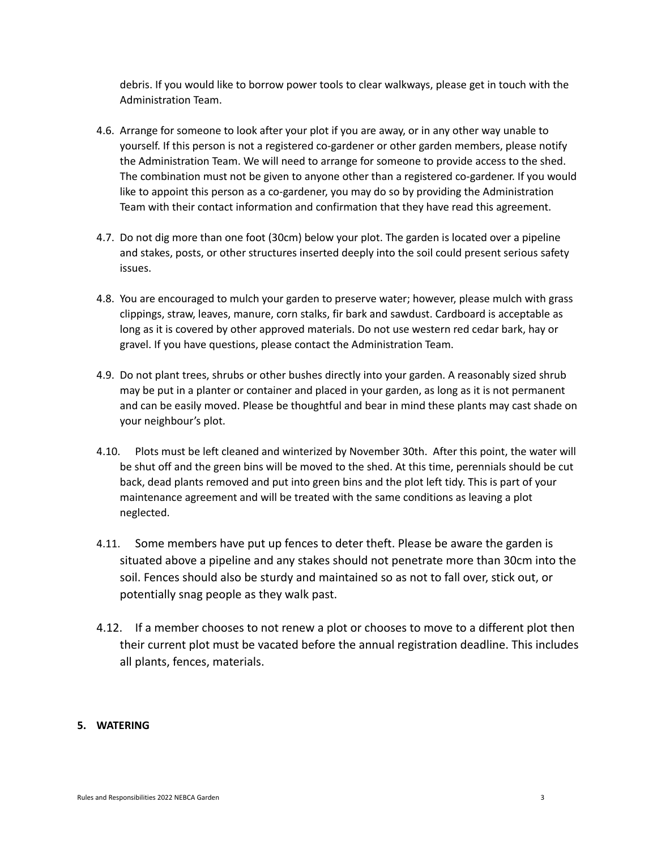debris. If you would like to borrow power tools to clear walkways, please get in touch with the Administration Team.

- 4.6. Arrange for someone to look after your plot if you are away, or in any other way unable to yourself. If this person is not a registered co-gardener or other garden members, please notify the Administration Team. We will need to arrange for someone to provide access to the shed. The combination must not be given to anyone other than a registered co-gardener. If you would like to appoint this person as a co-gardener, you may do so by providing the Administration Team with their contact information and confirmation that they have read this agreement.
- 4.7. Do not dig more than one foot (30cm) below your plot. The garden is located over a pipeline and stakes, posts, or other structures inserted deeply into the soil could present serious safety issues.
- 4.8. You are encouraged to mulch your garden to preserve water; however, please mulch with grass clippings, straw, leaves, manure, corn stalks, fir bark and sawdust. Cardboard is acceptable as long as it is covered by other approved materials. Do not use western red cedar bark, hay or gravel. If you have questions, please contact the Administration Team.
- 4.9. Do not plant trees, shrubs or other bushes directly into your garden. A reasonably sized shrub may be put in a planter or container and placed in your garden, as long as it is not permanent and can be easily moved. Please be thoughtful and bear in mind these plants may cast shade on your neighbour's plot.
- 4.10. Plots must be left cleaned and winterized by November 30th. After this point, the water will be shut off and the green bins will be moved to the shed. At this time, perennials should be cut back, dead plants removed and put into green bins and the plot left tidy. This is part of your maintenance agreement and will be treated with the same conditions as leaving a plot neglected.
- 4.11. Some members have put up fences to deter theft. Please be aware the garden is situated above a pipeline and any stakes should not penetrate more than 30cm into the soil. Fences should also be sturdy and maintained so as not to fall over, stick out, or potentially snag people as they walk past.
- 4.12. If a member chooses to not renew a plot or chooses to move to a different plot then their current plot must be vacated before the annual registration deadline. This includes all plants, fences, materials.

#### **5. WATERING**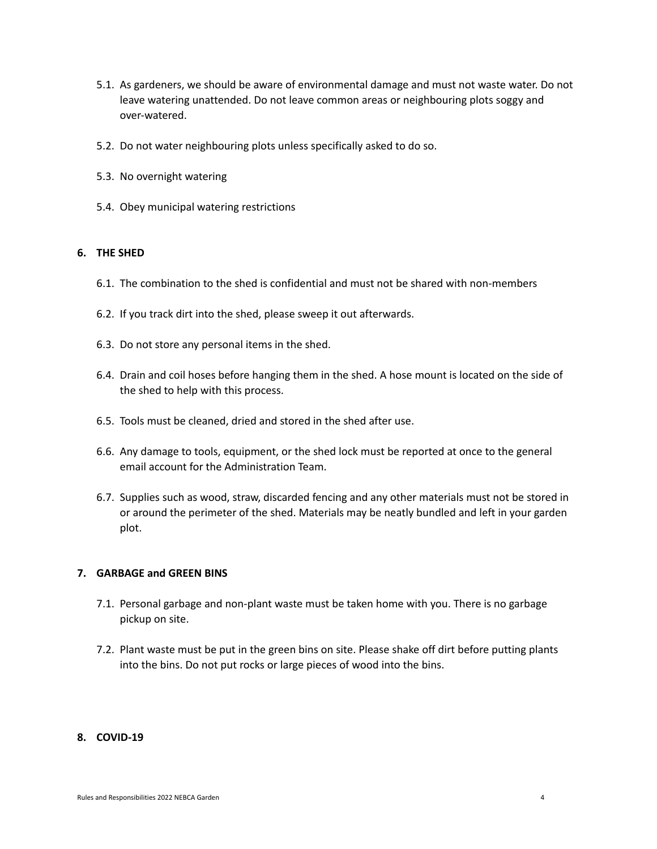- 5.1. As gardeners, we should be aware of environmental damage and must not waste water. Do not leave watering unattended. Do not leave common areas or neighbouring plots soggy and over-watered.
- 5.2. Do not water neighbouring plots unless specifically asked to do so.
- 5.3. No overnight watering
- 5.4. Obey municipal watering restrictions

## **6. THE SHED**

- 6.1. The combination to the shed is confidential and must not be shared with non-members
- 6.2. If you track dirt into the shed, please sweep it out afterwards.
- 6.3. Do not store any personal items in the shed.
- 6.4. Drain and coil hoses before hanging them in the shed. A hose mount is located on the side of the shed to help with this process.
- 6.5. Tools must be cleaned, dried and stored in the shed after use.
- 6.6. Any damage to tools, equipment, or the shed lock must be reported at once to the general email account for the Administration Team.
- 6.7. Supplies such as wood, straw, discarded fencing and any other materials must not be stored in or around the perimeter of the shed. Materials may be neatly bundled and left in your garden plot.

## **7. GARBAGE and GREEN BINS**

- 7.1. Personal garbage and non-plant waste must be taken home with you. There is no garbage pickup on site.
- 7.2. Plant waste must be put in the green bins on site. Please shake off dirt before putting plants into the bins. Do not put rocks or large pieces of wood into the bins.

#### **8. COVID-19**